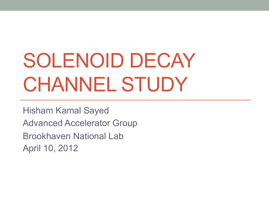# SOLENOID DECAY CHANNEL STUDY

Hisham Kamal Sayed Advanced Accelerator Group Brookhaven National Lab April 10, 2012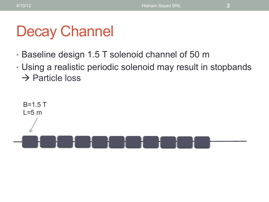### Decay Channel

- Baseline design 1.5 T solenoid channel of 50 m
- Using a realistic periodic solenoid may result in stopbands  $\rightarrow$  Particle loss

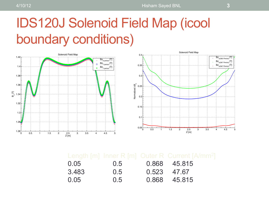#### IDS120J Solenoid Field Map (icool boundary conditions)



| 0.05  | 0.5 |             | 0.868 45.815 |
|-------|-----|-------------|--------------|
| 3.483 | 0.5 | 0.523 47.67 |              |
| 0.05  | 0.5 |             | 0.868 45.815 |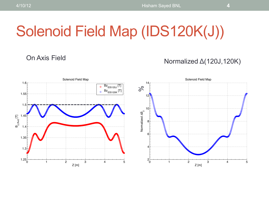## Solenoid Field Map (IDS120K(J))

#### On Axis Field Normalized Δ(120J,120K)

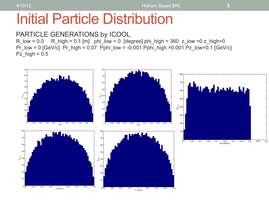#### Initial Particle Distribution

#### PARTICLE GENERATIONS by ICOOL

 $R_low = 0.0$  R\_high = 0.1 [m] phi\_low = 0 [degree] phi\_high = 360 z\_low = 0 z\_high=0 Pr\_low = 0  $[GeV/c]$  Pr\_high = 0.07 Pphi\_low = -0.001 Pphi\_high =0.001 Pz\_low=0.1  $[GeV/c]$ Pz  $high = 0.5$ 

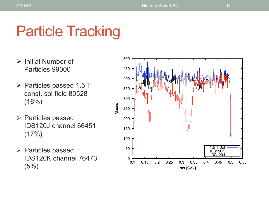### Particle Tracking

- $\triangleright$  Initial Number of Particles 99000
- $\triangleright$  Particles passed 1.5 T const. sol field 80528 (18%)
- $\triangleright$  Particles passed IDS120J channel 66451  $(17%)$
- $\triangleright$  Particles passed IDS120K channel 76473 (5%)

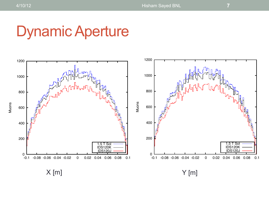Muons

#### Dynamic Aperture



 $X$  [m]  $Y$  [m]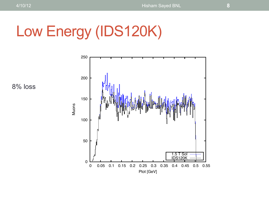## Low Energy (IDS120K)



8% loss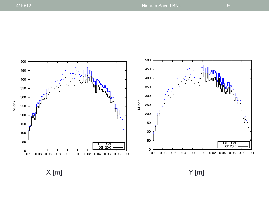

 $X[m]$   $Y[m]$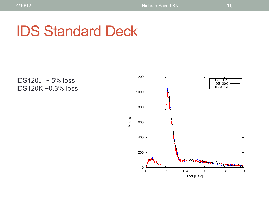### IDS Standard Deck

IDS120J  $\sim$  5% loss IDS120K ~0.3% loss